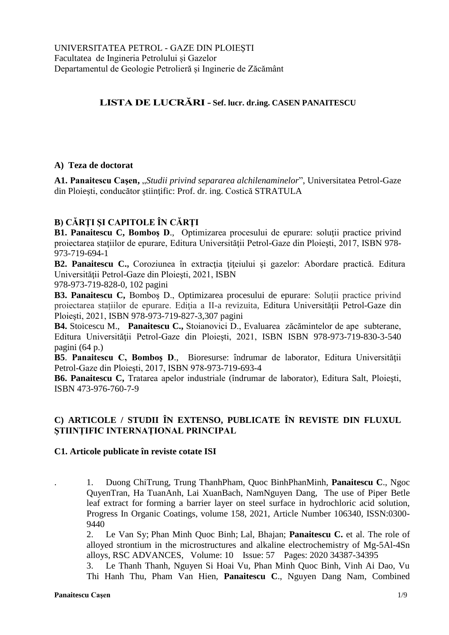# **LISTA DE LUCRĂRI- Sef. lucr. dr.ing. CASEN PANAITESCU**

### **A) Teza de doctorat**

**A1. Panaitescu Caşen,** "*Studii privind separarea alchilenaminelor*", Universitatea Petrol-Gaze din Ploieşti, conducător ştiinţific: Prof. dr. ing. Costică STRATULA

## **B) CĂRŢI ŞI CAPITOLE ÎN CĂRŢI**

**B1. Panaitescu C, Bomboş D.,** Optimizarea procesului de epurare: soluții practice privind proiectarea staţiilor de epurare, Editura Universităţii Petrol-Gaze din Ploieşti, 2017, ISBN 978- 973-719-694-1

**B2. Panaitescu C.,** Coroziunea în extracţia ţiţeiului şi gazelor: Abordare practică. Editura Universităţii Petrol-Gaze din Ploieşti, 2021, ISBN

978-973-719-828-0, 102 pagini

**B3. Panaitescu C,** Bomboş D., Optimizarea procesului de epurare: Soluții practice privind proiectarea stațiilor de epurare. Ediţia a II-a revizuita, Editura Universităţii Petrol-Gaze din Ploieşti, 2021, ISBN 978-973-719-827-3,307 pagini

**B4.** Stoicescu M., **Panaitescu C.,** Stoianovici D., Evaluarea zăcămintelor de ape subterane, Editura Universității Petrol-Gaze din Ploiești, 2021, ISBN ISBN 978-973-719-830-3-540 pagini (64 p.)

**B5. Panaitescu C, Bombos D., Bioresurse: îndrumar de laborator, Editura Universității** Petrol-Gaze din Ploieşti, 2017, ISBN 978-973-719-693-4

**B6. Panaitescu C,** Tratarea apelor industriale (îndrumar de laborator), Editura Salt, Ploieşti, ISBN 473-976-760-7-9

## **C) ARTICOLE / STUDII ÎN EXTENSO, PUBLICATE ÎN REVISTE DIN FLUXUL ŞTIINŢIFIC INTERNAŢIONAL PRINCIPAL**

#### **C1. Articole publicate în reviste cotate ISI**

. 1. Duong ChiTrung, Trung ThanhPham, Quoc BinhPhanMinh, **Panaitescu C**., Ngoc QuyenTran, Ha TuanAnh, Lai XuanBach, NamNguyen Dang, The use of Piper Betle leaf extract for forming a barrier layer on steel surface in hydrochloric acid solution, Progress In Organic Coatings, volume 158, 2021, Article Number 106340, ISSN:0300- 9440

2. [Le Van Sy;](https://apps.webofknowledge.com/OneClickSearch.do?product=UA&search_mode=OneClickSearch&excludeEventConfig=ExcludeIfFromFullRecPage&SID=F3Zxwcb7ATkdxMjymxU&field=AU&value=Le%20Van%20Sy) [Phan Minh Quoc Binh;](https://apps.webofknowledge.com/OneClickSearch.do?product=UA&search_mode=OneClickSearch&excludeEventConfig=ExcludeIfFromFullRecPage&SID=F3Zxwcb7ATkdxMjymxU&field=AU&value=Phan%20Minh%20Quoc%20Binh) [Lal, Bhajan;](https://apps.webofknowledge.com/OneClickSearch.do?product=UA&search_mode=OneClickSearch&excludeEventConfig=ExcludeIfFromFullRecPage&SID=F3Zxwcb7ATkdxMjymxU&field=AU&value=Lal,%20Bhajan) **Panaitescu C.** et al. [The role of](https://apps.webofknowledge.com/full_record.do?product=UA&search_mode=GeneralSearch&qid=4&SID=F3Zxwcb7ATkdxMjymxU&page=1&doc=1)  [alloyed strontium in the microstructures and alkaline electrochemistry of Mg-5Al-4Sn](https://apps.webofknowledge.com/full_record.do?product=UA&search_mode=GeneralSearch&qid=4&SID=F3Zxwcb7ATkdxMjymxU&page=1&doc=1)  [alloys,](https://apps.webofknowledge.com/full_record.do?product=UA&search_mode=GeneralSearch&qid=4&SID=F3Zxwcb7ATkdxMjymxU&page=1&doc=1) RSC ADVANCES, Volume: 10 Issue: 57 Pages: 2020 34387-34395

3. Le Thanh Thanh, Nguyen Si Hoai Vu, Phan Minh Quoc Binh, Vinh Ai Dao, Vu Thi Hanh Thu, Pham Van Hien, **Panaitescu C**., Nguyen Dang Nam, [Combined](https://www.sciencedirect.com/science/article/pii/S0167732220324600)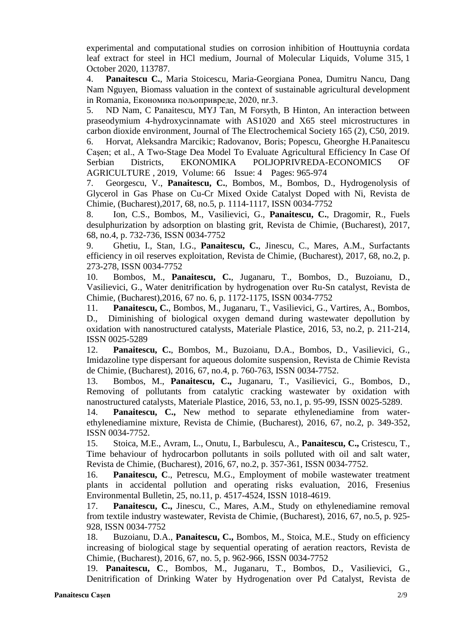[experimental and computational studies on corrosion inhibition of Houttuynia cordata](https://www.sciencedirect.com/science/article/pii/S0167732220324600)  [leaf extract for steel in HCl medium,](https://www.sciencedirect.com/science/article/pii/S0167732220324600) Journal of Molecular Liquids, [Volume 315,](https://www.sciencedirect.com/science/journal/01677322/315/supp/C) 1 October 2020, 113787.

4. **Panaitescu C.**, Maria Stoicescu, Maria-Georgiana Ponea, Dumitru Nancu, Dang Nam Nguyen, [Biomass valuation in the context of sustainable agricultural development](https://cyberleninka.ru/article/n/biomass-valuation-in-the-context-of-sustainable-agricultural-development-in-romania)  [in Romania,](https://cyberleninka.ru/article/n/biomass-valuation-in-the-context-of-sustainable-agricultural-development-in-romania) Економика пољопривреде, 2020, nr.3.

5. ND Nam, C Panaitescu, MYJ Tan, M Forsyth, B Hinton, [An interaction between](javascript:void(0))  [praseodymium 4-hydroxycinnamate with AS1020 and X65 steel microstructures in](javascript:void(0))  [carbon dioxide environment,](javascript:void(0)) Journal of The Electrochemical Society 165 (2), C50, 2019.

6. [Horvat, Aleksandra Marcikic;](https://apps.webofknowledge.com/OneClickSearch.do?product=UA&search_mode=OneClickSearch&excludeEventConfig=ExcludeIfFromFullRecPage&SID=F3Zxwcb7ATkdxMjymxU&field=AU&value=Horvat,%20Aleksandra%20Marcikic) [Radovanov, Boris;](https://apps.webofknowledge.com/OneClickSearch.do?product=UA&search_mode=OneClickSearch&excludeEventConfig=ExcludeIfFromFullRecPage&SID=F3Zxwcb7ATkdxMjymxU&field=AU&value=Radovanov,%20Boris) [Popescu, Gheorghe H.P](https://apps.webofknowledge.com/OneClickSearch.do?product=UA&search_mode=OneClickSearch&excludeEventConfig=ExcludeIfFromFullRecPage&SID=F3Zxwcb7ATkdxMjymxU&field=AU&value=Popescu,%20Gheorghe%20H.)anaitescu Caşen; et al., [A Two-Stage Dea Model To Evaluate Agricultural Efficiency In Case Of](https://apps.webofknowledge.com/full_record.do?product=UA&search_mode=GeneralSearch&qid=4&SID=F3Zxwcb7ATkdxMjymxU&page=1&doc=2)  [Serbian Districts,](https://apps.webofknowledge.com/full_record.do?product=UA&search_mode=GeneralSearch&qid=4&SID=F3Zxwcb7ATkdxMjymxU&page=1&doc=2) EKONOMIKA POLJOPRIVREDA-ECONOMICS OF AGRICULTURE , 2019, Volume: 66 Issue: 4 Pages: 965-974

7. Georgescu, V., **Panaitescu, C.**, Bombos, M., Bombos, D., Hydrogenolysis of Glycerol in Gas Phase on Cu-Cr Mixed Oxide Catalyst Doped with Ni, Revista de Chimie, (Bucharest),2017, 68, no.5, p. 1114-1117, ISSN 0034-7752

8. Ion, C.S., Bombos, M., Vasilievici, G., **Panaitescu, C.**, Dragomir, R., Fuels desulphurization by adsorption on blasting grit, Revista de Chimie, (Bucharest), 2017, 68, no.4, p. 732-736, ISSN 0034-7752

9. Ghetiu, I., Stan, I.G., **Panaitescu, C.**, Jinescu, C., Mares, A.M., Surfactants efficiency in oil reserves exploitation, Revista de Chimie, (Bucharest), 2017, 68, no.2, p. 273-278, ISSN 0034-7752

10. Bombos, M., **Panaitescu, C.**, Juganaru, T., Bombos, D., Buzoianu, D., Vasilievici, G., Water denitrification by hydrogenation over Ru-Sn catalyst, Revista de Chimie, (Bucharest),2016, 67 no. 6, p. 1172-1175, ISSN 0034-7752

11. **Panaitescu, C.**, Bombos, M., Juganaru, T., Vasilievici, G., Vartires, A., Bombos, D., Diminishing of biological oxygen demand during wastewater depollution by oxidation with nanostructured catalysts, Materiale Plastice, 2016, 53, no.2, p. 211-214, ISSN 0025-5289

12. **Panaitescu, C.**, Bombos, M., Buzoianu, D.A., Bombos, D., Vasilievici, G., Imidazoline type dispersant for aqueous dolomite suspension, Revista de Chimie Revista de Chimie, (Bucharest), 2016, 67, no.4, p. 760-763, ISSN 0034-7752.

13. Bombos, M., **Panaitescu, C.,** Juganaru, T., Vasilievici, G., Bombos, D., Removing of pollutants from catalytic cracking wastewater by oxidation with nanostructured catalysts, Materiale Plastice, 2016, 53, no.1, p. 95-99, ISSN 0025-5289.

14. **Panaitescu, C.,** New method to separate ethylenediamine from waterethylenediamine mixture, Revista de Chimie, (Bucharest), 2016, 67, no.2, p. 349-352, ISSN 0034-7752.

15. Stoica, M.E., Avram, L., Onutu, I., Barbulescu, A., **Panaitescu, C.,** Cristescu, T., Time behaviour of hydrocarbon pollutants in soils polluted with oil and salt water, Revista de Chimie, (Bucharest), 2016, 67, no.2, p. 357-361, ISSN 0034-7752.

16. **Panaitescu, C**., Petrescu, M.G., Employment of mobile wastewater treatment plants in accidental pollution and operating risks evaluation, 2016, Fresenius Environmental Bulletin, 25, no.11, p. 4517-4524, ISSN 1018-4619.

17. **Panaitescu, C.,** Jinescu, C., Mares, A.M., Study on ethylenediamine removal from textile industry wastewater, Revista de Chimie, (Bucharest), 2016, 67, no.5, p. 925- 928, ISSN 0034-7752

18. Buzoianu, D.A., **Panaitescu, C.,** Bombos, M., Stoica, M.E., Study on efficiency increasing of biological stage by sequential operating of aeration reactors, Revista de Chimie, (Bucharest), 2016, 67, no. 5, p. 962-966, ISSN 0034-7752

19. **Panaitescu, C**., Bombos, M., Juganaru, T., Bombos, D., Vasilievici, G., Denitrification of Drinking Water by Hydrogenation over Pd Catalyst, Revista de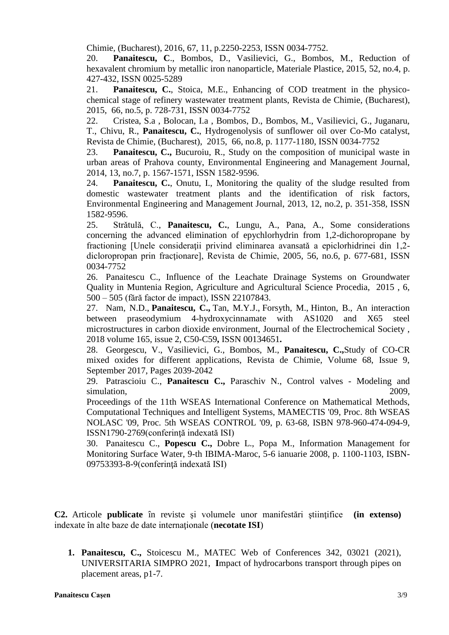Chimie, (Bucharest), 2016, 67, 11, p.2250-2253, ISSN 0034-7752.

20. **Panaitescu, C**., Bombos, D., Vasilievici, G., Bombos, M., Reduction of hexavalent chromium by metallic iron nanoparticle, Materiale Plastice, 2015, 52, no.4, p. 427-432, ISSN 0025-5289

21. **Panaitescu, C.**, Stoica, M.E., Enhancing of COD treatment in the physicochemical stage of refinery wastewater treatment plants, Revista de Chimie, (Bucharest), 2015, 66, no.5, p. 728-731, ISSN 0034-7752

22. Cristea, S.a , Bolocan, I.a , Bombos, D., Bombos, M., Vasilievici, G., Juganaru, T., Chivu, R., **Panaitescu, C.**, Hydrogenolysis of sunflower oil over Co-Mo catalyst, Revista de Chimie, (Bucharest), 2015, 66, no.8, p. 1177-1180, ISSN 0034-7752

23. **Panaitescu, C.,** Bucuroiu, R., Study on the composition of municipal waste in urban areas of Prahova county, Environmental Engineering and Management Journal, 2014, 13, no.7, p. 1567-1571, ISSN 1582-9596.

24. **Panaitescu, C.**, Onutu, I., Monitoring the quality of the sludge resulted from domestic wastewater treatment plants and the identification of risk factors, Environmental Engineering and Management Journal, 2013, 12, no.2, p. 351-358, ISSN 1582-9596.

25. Strǎtulǎ, C., **Panaitescu, C.**, Lungu, A., Pana, A., Some considerations concerning the advanced elimination of epychlorhydrin from 1,2-dichoropropane by fractioning [Unele consideratii privind eliminarea avansată a epiclorhidrinei din 1,2dicloropropan prin fracţionare], Revista de Chimie, 2005, 56, no.6, p. 677-681, ISSN 0034-7752

26. Panaitescu C., Influence of the Leachate Drainage Systems on Groundwater Quality in Muntenia Region, Agriculture and Agricultural Science Procedia, 2015 , 6, 500 – 505 (fără factor de impact), ISSN 22107843.

27. Nam, N.D., **Panaitescu, C.,** Tan, M.Y.J., Forsyth, M., Hinton, B., An interaction between praseodymium 4-hydroxycinnamate with AS1020 and X65 steel microstructures in carbon dioxide environment, Journal of the Electrochemical Society , 2018 volume 165, issue 2, C50-C59**,** ISSN 00134651**.**

28. Georgescu, V., Vasilievici, G., Bombos, M., **Panaitescu, C.,**Study of CO-CR mixed oxides for different applications, Revista de Chimie, Volume 68, Issue 9, September 2017, Pages 2039-2042

29. [Patrascioiu C.,](https://www.scopus.com/authid/detail.uri?origin=resultslist&authorId=25029629200&zone=) **[Panaitescu C.,](https://www.scopus.com/authid/detail.uri?origin=resultslist&authorId=36617745200&zone=)** [Paraschiv N.,](https://www.scopus.com/authid/detail.uri?origin=resultslist&authorId=25226941400&zone=) [Control valves -](https://www.scopus.com/record/display.uri?eid=2-s2.0-78149343957&origin=resultslist&sort=plf-f&cite=2-s2.0-78149343957&src=s&imp=t&sid=DF3D793B5D9125CE1522457FD560CA72.wsnAw8kcdt7IPYLO0V48gA%3a1470&sot=cite&sdt=a&sl=0&recordRank=) Modeling and [simulation,](https://www.scopus.com/record/display.uri?eid=2-s2.0-78149343957&origin=resultslist&sort=plf-f&cite=2-s2.0-78149343957&src=s&imp=t&sid=DF3D793B5D9125CE1522457FD560CA72.wsnAw8kcdt7IPYLO0V48gA%3a1470&sot=cite&sdt=a&sl=0&recordRank=) 2009,

Proceedings of the 11th WSEAS International Conference on Mathematical Methods, Computational Techniques and Intelligent Systems, MAMECTIS '09, Proc. 8th WSEAS NOLASC '09, Proc. 5th WSEAS CONTROL '09, p. 63-68, ISBN 978-960-474-094-9, ISSN1790-2769(conferinţă indexată ISI)

30. Panaitescu C., **Popescu C.,** Dobre L., Popa M., Information Management for Monitoring Surface Water, 9-th IBIMA-Maroc, 5-6 ianuarie 2008, p. 1100-1103, ISBN-09753393-8-9(conferinţă indexată ISI)

**C2.** Articole **publicate** în reviste și volumele unor manifestări științifice (in extenso) indexate în alte baze de date internationale (**necotate ISI**)

**1. Panaitescu, C.,** Stoicescu M., MATEC Web of Conferences 342, 03021 (2021), UNIVERSITARIA SIMPRO 2021, **I**mpact of hydrocarbons transport through pipes on placement areas, p1-7.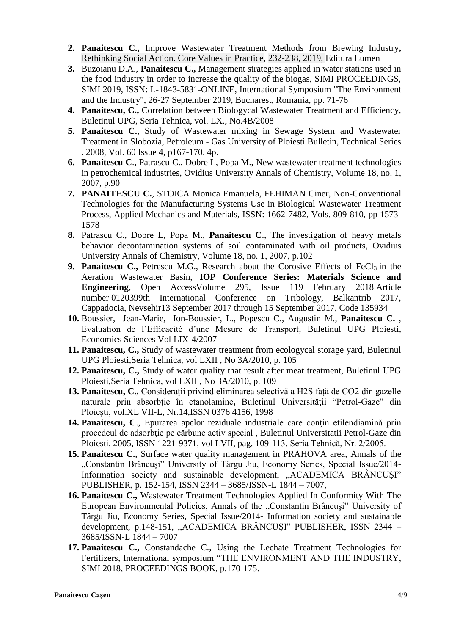- **2. Panaitescu C.,** Improve Wastewater Treatment Methods from Brewing Industry**,**  [Rethinking Social Action. Core Values in Practice,](https://www.ceeol.com/search/book-detail?id=798681) 232-238, 2019, Editura Lumen
- **3.** Buzoianu D.A., **Panaitescu C.,** Management strategies applied in water stations used in the food industry in order to increase the quality of the biogas, SIMI PROCEEDINGS, SIMI 2019, ISSN: L-1843-5831-ONLINE, International Symposium "The Environment and the Industry", 26-27 September 2019, Bucharest, Romania, pp. 71-76
- **4. Panaitescu, C.,** Correlation between Biologycal Wastewater Treatment and Efficiency, Buletinul UPG, Seria Tehnica, vol. LX., No.4B/2008
- **5. Panaitescu C.,** Study of Wastewater mixing in Sewage System and Wastewater Treatment in Slobozia, Petroleum - Gas University of Ploiesti Bulletin, Technical Series . 2008, Vol. 60 Issue 4, p167-170. 4p.
- **6. Panaitescu C**., Patrascu C., Dobre L, Popa M., New wastewater treatment technologies in petrochemical industries, Ovidius University Annals of Chemistry, Volume 18, no. 1, 2007, p.90
- **7. PANAITESCU C.**, STOICA Monica Emanuela, FEHIMAN Ciner, Non-Conventional Technologies for the Manufacturing Systems Use in Biological Wastewater Treatment Process, Applied Mechanics and Materials, ISSN: 1662-7482, Vols. 809-810, pp 1573- 1578
- **8.** Patrascu C., Dobre L, Popa M., **Panaitescu C**., The investigation of heavy metals behavior decontamination systems of soil contaminated with oil products, Ovidius University Annals of Chemistry, Volume 18, no. 1, 2007, p.102
- **9. Panaitescu C.,** Petrescu M.G., Research about the Corosive Effects of FeCl<sub>3</sub> in the Aeration Wastewater Basin, **IOP [Conference](https://www.scopus.com/sourceid/19700200831) Series: Materials Science and [Engineering](https://www.scopus.com/sourceid/19700200831)**, Open AccessVolume 295, Issue 119 February 2018 Article number 0120399th International Conference on Tribology, Balkantrib 2017, Cappadocia, Nevsehir13 September 2017 through 15 September 2017, Code 135934
- **10.** Boussier, Jean-Marie, Ion-Boussier, L., Popescu C., Augustin M., **Panaitescu C.** , Evaluation de l'Efficacité d'une Mesure de Transport, Buletinul UPG Ploiesti, Economics Sciences Vol LIX-4/2007
- **11. Panaitescu, C.,** Study of wastewater treatment from ecologycal storage yard, Buletinul UPG Ploiesti,Seria Tehnica, vol LXII , No 3A/2010, p. 105
- **12. Panaitescu, C.,** Study of water quality that result after meat treatment, Buletinul UPG Ploiesti,Seria Tehnica, vol LXII , No 3A/2010, p. 109
- **13. Panaitescu, C.,** Consideraţii privind eliminarea selectivă a H2S faţă de CO2 din gazelle naturale prin absorbtie în etanolamine, Buletinul Universității "Petrol-Gaze" din Ploieşti, vol.XL VII-L, Nr.14,ISSN 0376 4156, 1998
- 14. **Panaitescu, C**., Epurarea apelor reziduale industriale care contin etilendiamină prin procedeul de adsorbţie pe cărbune activ special , Buletinul Universitatii Petrol-Gaze din Ploiesti, 2005, ISSN 1221-9371, vol LVII, pag. 109-113, Seria Tehnică, Nr. 2/2005.
- **15. Panaitescu C.,** Surface water quality management in PRAHOVA area, Annals of the "Constantin Brâncuşi" University of Târgu Jiu, Economy Series, Special Issue/2014- Information society and sustainable development, "ACADEMICA BRÂNCUŞI" PUBLISHER, p. 152-154, ISSN 2344 – 3685/ISSN-L 1844 – 7007,
- **16. Panaitescu C.,** Wastewater Treatment Technologies Applied In Conformity With The European Environmental Policies, Annals of the "Constantin Brâncuși" University of Târgu Jiu, Economy Series, Special Issue/2014- Information society and sustainable development, p.148-151, "ACADEMICA BRÂNCUŞI" PUBLISHER, ISSN 2344 – 3685/ISSN-L 1844 – 7007
- **17. Panaitescu C.,** Constandache C., Using the Lechate Treatment Technologies for Fertilizers, International symposium "THE ENVIRONMENT AND THE INDUSTRY, SIMI 2018, PROCEEDINGS BOOK, p.170-175.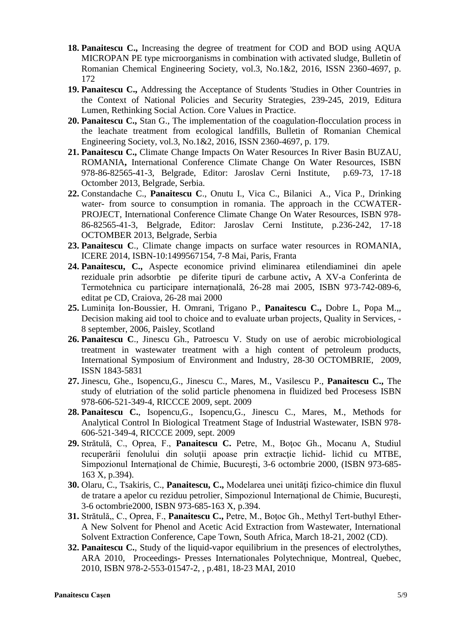- **18. Panaitescu C.,** Increasing the degree of treatment for COD and BOD using AQUA MICROPAN PE type microorganisms in combination with activated sludge, Bulletin of Romanian Chemical Engineering Society, vol.3, No.1&2, 2016, ISSN 2360-4697, p. 172
- **19. Panaitescu C.,** Addressing the Acceptance of Students 'Studies in Other Countries in the Context of National Policies and Security Strategies, 239-245, 2019, Editura Lumen, [Rethinking Social Action. Core Values in Practice.](https://www.ceeol.com/search/book-detail?id=798681)
- **20. Panaitescu C.,** Stan G., The implementation of the coagulation-flocculation process in the leachate treatment from ecological landfills, Bulletin of Romanian Chemical Engineering Society, vol.3, No.1&2, 2016, ISSN 2360-4697, p. 179.
- **21. Panaitescu C.,** Climate Change Impacts On Water Resources In River Basin BUZAU, ROMANIA**,** International Conference Climate Change On Water Resources, ISBN 978-86-82565-41-3, Belgrade, Editor: Jaroslav Cerni Institute, p.69-73, 17-18 Octomber 2013, Belgrade, Serbia.
- **22.** Constandache C., **Panaitescu C**., Onutu I., Vica C., Bilanici A., Vica P., Drinking water- from source to consumption in romania. The approach in the CCWATER-PROJECT, International Conference Climate Change On Water Resources, ISBN 978- 86-82565-41-3, Belgrade, Editor: Jaroslav Cerni Institute, p.236-242, 17-18 OCTOMBER 2013, Belgrade, Serbia
- **23. Panaitescu C**., Climate change impacts on surface water resources in ROMANIA, ICERE 2014, ISBN-10:1499567154, 7-8 Mai, Paris, Franta
- **24. Panaitescu, C.,** Aspecte economice privind eliminarea etilendiaminei din apele reziduale prin adsorbtie pe diferite tipuri de carbune activ**,** A XV-a Conferinta de Termotehnica cu participare internaţională, 26-28 mai 2005, ISBN 973-742-089-6, editat pe CD, Craiova, 26-28 mai 2000
- **25.** Luminiţa Ion-Boussier, H. Omrani, Trigano P., **Panaitescu C.,** Dobre L, Popa M.,, Decision making aid tool to choice and to evaluate urban projects, Quality in Services, - 8 september, 2006, Paisley, Scotland
- **26. Panaitescu C**., Jinescu Gh., Patroescu V. Study on use of aerobic microbiological treatment in wastewater treatment with a high content of petroleum products, International Symposium of Environment and Industry, 28-30 OCTOMBRIE, 2009, ISSN 1843-5831
- **27.** Jinescu, Ghe., Isopencu,G., Jinescu C., Mares, M., Vasilescu P., **Panaitescu C.,** The study of elutriation of the solid particle phenomena in fluidized bed Procesess ISBN 978-606-521-349-4, RICCCE 2009, sept. 2009
- **28. Panaitescu C.**, Isopencu,G., Isopencu,G., Jinescu C., Mares, M., Methods for Analytical Control In Biological Treatment Stage of Industrial Wastewater, ISBN 978- 606-521-349-4, RICCCE 2009, sept. 2009
- **29.** Strătulă, C., Oprea, F., **Panaitescu C.** Petre, M., Boţoc Gh., Mocanu A, Studiul recuperării fenolului din soluții apoase prin extracție lichid- lichid cu MTBE, Simpozionul Internaţional de Chimie, Bucureşti, 3-6 octombrie 2000, (ISBN 973-685- 163 X, p.394).
- **30.** Olaru, C., Tsakiris, C., **Panaitescu, C.,** Modelarea unei unităţi fizico-chimice din fluxul de tratare a apelor cu reziduu petrolier, Simpozionul Internaţional de Chimie, Bucureşti, 3-6 octombrie2000, ISBN 973-685-163 X, p.394.
- **31.** Strătulă,, C., Oprea, F., **Panaitescu C., Petre, M., Botoc Gh., Methyl Tert-buthyl Ether-**A New Solvent for Phenol and Acetic Acid Extraction from Wastewater, International Solvent Extraction Conference, Cape Town, South Africa, March 18-21, 2002 (CD).
- **32. Panaitescu C.**, Study of the liquid-vapor equilibrium in the presences of electrolythes, ARA 2010, Proceedings- Presses Internationales Polytechnique, Montreal, Quebec, 2010, ISBN 978-2-553-01547-2, , p.481, 18-23 MAI, 2010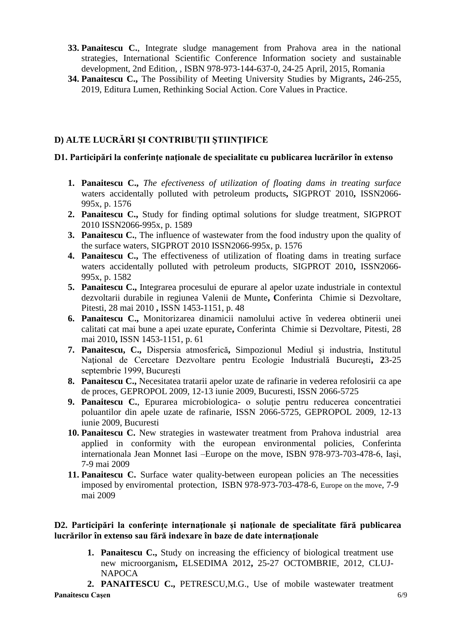- **33. Panaitescu C.**, Integrate sludge management from Prahova area in the national strategies, International Scientific Conference Information society and sustainable development, 2nd Edition, , ISBN 978-973-144-637-0, 24-25 April, 2015, Romania
- **34. Panaitescu C.,** The Possibility of Meeting University Studies by Migrants**,** 246-255, 2019, Editura Lumen, [Rethinking Social Action. Core Values in Practice.](https://www.ceeol.com/search/book-detail?id=798681)

## **D) ALTE LUCRĂRI ŞI CONTRIBUŢII ŞTIINŢIFICE**

#### **D1. Participări la conferinţe naţionale de specialitate cu publicarea lucrărilor în extenso**

- **1. Panaitescu C.,** *The efectiveness of utilization of floating dams in treating surface*  waters accidentally polluted with petroleum products**,** SIGPROT 2010**,** ISSN2066- 995x, p. 1576
- **2. Panaitescu C.,** Study for finding optimal solutions for sludge treatment, SIGPROT 2010 ISSN2066-995x, p. 1589
- **3. Panaitescu C.**, The influence of wastewater from the food industry upon the quality of the surface waters, SIGPROT 2010 ISSN2066-995x, p. 1576
- **4. Panaitescu C.,** The effectiveness of utilization of floating dams in treating surface waters accidentally polluted with petroleum products, SIGPROT 2010**,** ISSN2066- 995x, p. 1582
- **5. Panaitescu C.,** Integrarea procesului de epurare al apelor uzate industriale in contextul dezvoltarii durabile in regiunea Valenii de Munte**, C**onferinta Chimie si Dezvoltare, Pitesti, 28 mai 2010 **,** ISSN 1453-1151, p. 48
- **6. Panaitescu C.,** Monitorizarea dinamicii namolului active în vederea obtinerii unei calitati cat mai bune a apei uzate epurate**,** Conferinta Chimie si Dezvoltare, Pitesti, 28 mai 2010**,** ISSN 1453-1151, p. 61
- **7. Panaitescu, C.,** Dispersia atmosferică**,** Simpozionul Mediul şi industria, Institutul Naţional de Cercetare Dezvoltare pentru Ecologie Industrială Bucureşti**, 2**3-25 septembrie 1999, Bucureşti
- **8. Panaitescu C.,** Necesitatea tratarii apelor uzate de rafinarie in vederea refolosirii ca ape de proces, GEPROPOL 2009, 12-13 iunie 2009, Bucuresti, ISSN 2066-5725
- 9. **Panaitescu C.**, Epurarea microbiologica- o soluție pentru reducerea concentratiei poluantilor din apele uzate de rafinarie, ISSN 2066-5725, GEPROPOL 2009, 12-13 iunie 2009, Bucuresti
- **10. Panaitescu C.** New strategies in wastewater treatment from Prahova industrial area applied in conformity with the european environmental policies, Conferinta internationala Jean Monnet Iasi –Europe on the move, ISBN 978-973-703-478-6, Iaşi, 7-9 mai 2009
- **11. Panaitescu C.** Surface water quality-between european policies an The necessities imposed by enviromental protection, ISBN 978-973-703-478-6, Europe on the move, 7-9 mai 2009

### **D2. Participări la conferinţe internaţionale şi naţionale de specialitate fără publicarea lucrărilor în extenso sau fără indexare în baze de date internaţionale**

**1. Panaitescu C.,** Study on increasing the efficiency of biological treatment use new microorganism**,** ELSEDIMA 2012**,** 25-27 OCTOMBRIE, 2012, CLUJ-**NAPOCA** 

**Panaitescu Caşen** 6/9 **2. PANAITESCU C.,** PETRESCU,M.G., Use of mobile wastewater treatment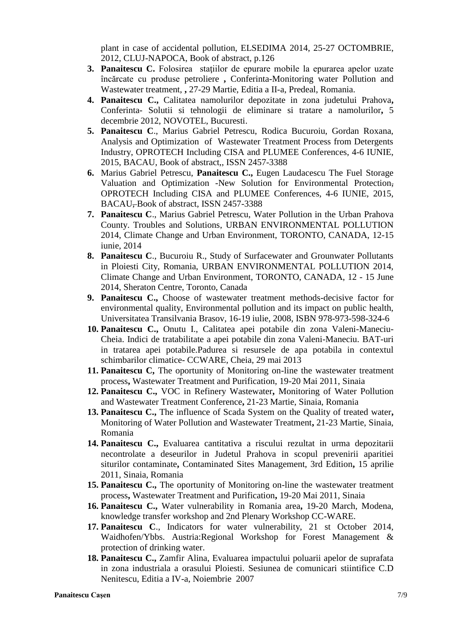plant in case of accidental pollution, ELSEDIMA 2014, 25-27 OCTOMBRIE, 2012, CLUJ-NAPOCA, Book of abstract, p.126

- **3. Panaitescu C.** Folosirea staţiilor de epurare mobile la epurarea apelor uzate încărcate cu produse petroliere **,** Conferinta-Monitoring water Pollution and Wastewater treatment, **,** 27-29 Martie, Editia a II-a, Predeal, Romania.
- **4. Panaitescu C.,** Calitatea namolurilor depozitate in zona judetului Prahova**,**  Conferinta- Solutii si tehnologii de eliminare si tratare a namolurilor**,** 5 decembrie 2012, NOVOTEL, Bucuresti.
- **5. Panaitescu C**., Marius Gabriel Petrescu, Rodica Bucuroiu, Gordan Roxana, Analysis and Optimization of Wastewater Treatment Process from Detergents Industry, OPROTECH Including CISA and PLUMEE Conferences, 4-6 IUNIE, 2015, BACAU, Book of abstract,, ISSN 2457-3388
- **6.** Marius Gabriel Petrescu, **Panaitescu C.,** Eugen Laudacescu The Fuel Storage Valuation and Optimization -New Solution for Environmental Protection, OPROTECH Including CISA and PLUMEE Conferences, 4-6 IUNIE, 2015, BACAU, Book of abstract, ISSN 2457-3388
- **7. Panaitescu C**., Marius Gabriel Petrescu, Water Pollution in the Urban Prahova County. Troubles and Solutions, URBAN ENVIRONMENTAL POLLUTION 2014, Climate Change and Urban Environment, TORONTO, CANADA, 12-15 iunie, 2014
- **8. Panaitescu C**., Bucuroiu R., Study of Surfacewater and Grounwater Pollutants in Ploiesti City, Romania, URBAN ENVIRONMENTAL POLLUTION 2014, Climate Change and Urban Environment, TORONTO, CANADA, 12 - 15 June 2014, Sheraton Centre, Toronto, Canada
- **9. Panaitescu C.,** Choose of wastewater treatment methods-decisive factor for environmental quality, Environmental pollution and its impact on public health, Universitatea Transilvania Brasov, 16-19 iulie, 2008, ISBN 978-973-598-324-6
- **10. Panaitescu C.,** Onutu I., Calitatea apei potabile din zona Valeni-Maneciu-Cheia. Indici de tratabilitate a apei potabile din zona Valeni-Maneciu. BAT-uri in tratarea apei potabile.Padurea si resursele de apa potabila in contextul schimbarilor climatice- CCWARE, Cheia, 29 mai 2013
- **11. Panaitescu C,** The oportunity of Monitoring on-line the wastewater treatment process**,** Wastewater Treatment and Purification, 19-20 Mai 2011, Sinaia
- **12. Panaitescu C.,** VOC in Refinery Wastewater**,** Monitoring of Water Pollution and Wastewater Treatment Conference**,** 21-23 Martie, Sinaia, Romania
- **13. Panaitescu C.,** The influence of Scada System on the Quality of treated water**,**  Monitoring of Water Pollution and Wastewater Treatment**,** 21-23 Martie, Sinaia, Romania
- **14. Panaitescu C.,** Evaluarea cantitativa a riscului rezultat in urma depozitarii necontrolate a deseurilor in Judetul Prahova in scopul prevenirii aparitiei siturilor contaminate**,** Contaminated Sites Management, 3rd Edition**,** 15 aprilie 2011, Sinaia, Romania
- **15. Panaitescu C.,** The oportunity of Monitoring on-line the wastewater treatment process**,** Wastewater Treatment and Purification**,** 19-20 Mai 2011, Sinaia
- **16. Panaitescu C.,** Water vulnerability in Romania area**,** 19-20 March, Modena, knowledge transfer workshop and 2nd Plenary Workshop CC-WARE.
- **17. Panaitescu C**., Indicators for water vulnerability, 21 st October 2014, Waidhofen/Ybbs. Austria:Regional Workshop for Forest Management & protection of drinking water.
- **18. Panaitescu C.,** Zamfir Alina, Evaluarea impactului poluarii apelor de suprafata in zona industriala a orasului Ploiesti. Sesiunea de comunicari stiintifice C.D Nenitescu, Editia a IV-a, Noiembrie 2007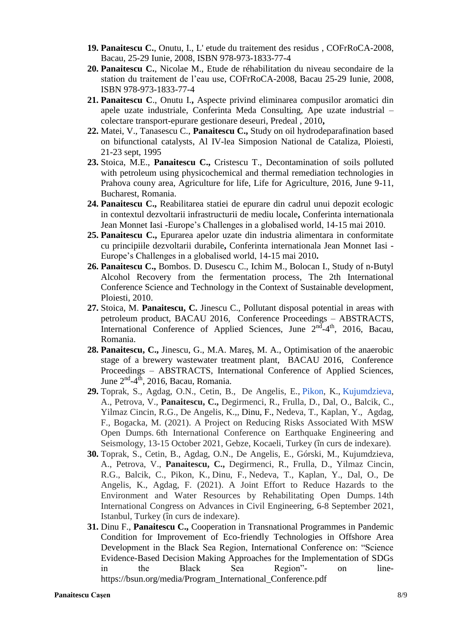- **19. Panaitescu C.**, Onutu, I., L' etude du traitement des residus , COFrRoCA-2008, Bacau, 25-29 Iunie, 2008, ISBN 978-973-1833-77-4
- **20. Panaitescu C.**, Nicolae M., Etude de réhabilitation du niveau secondaire de la station du traitement de l'eau use, COFrRoCA-2008, Bacau 25-29 Iunie, 2008, ISBN 978-973-1833-77-4
- **21. Panaitescu C**., Onutu I.**,** Aspecte privind eliminarea compusilor aromatici din apele uzate industriale, Conferinta Meda Consulting, Ape uzate industrial – colectare transport-epurare gestionare deseuri, Predeal , 2010**,**
- **22.** Matei, V., Tanasescu C., **Panaitescu C.,** Study on oil hydrodeparafination based on bifunctional catalysts, Al IV-lea Simposion National de Cataliza, Ploiesti, 21-23 sept, 1995
- **23.** Stoica, M.E., **Panaitescu C.,** Cristescu T., Decontamination of soils polluted with petroleum using physicochemical and thermal remediation technologies in Prahova couny area, Agriculture for life, Life for Agriculture, 2016, June 9-11, Bucharest, Romania.
- **24. Panaitescu C.,** Reabilitarea statiei de epurare din cadrul unui depozit ecologic in contextul dezvoltarii infrastructurii de mediu locale**,** Conferinta internationala Jean Monnet Iasi -Europe's Challenges in a globalised world, 14-15 mai 2010.
- **25. Panaitescu C.,** Epurarea apelor uzate din industria alimentara in conformitate cu principiile dezvoltarii durabile**,** Conferinta internationala Jean Monnet Iasi - Europe's Challenges in a globalised world, 14-15 mai 2010**.**
- **26. Panaitescu C.,** Bombos. D. Dusescu C., Ichim M., Bolocan I., Study of n-Butyl Alcohol Recovery from the fermentation process, The 2th International Conference Science and Technology in the Context of Sustainable development, Ploiesti, 2010.
- **27.** Stoica, M. **Panaitescu, C.** Jinescu C., Pollutant disposal potential in areas with petroleum product, BACAU 2016, Conference Proceedings – ABSTRACTS, International Conference of Applied Sciences, June 2<sup>nd</sup>-4<sup>th</sup>, 2016, Bacau, Romania.
- **28. Panaitescu, C.,** Jinescu, G., M.A. Mareş, M. A., Optimisation of the anaerobic stage of a brewery wastewater treatment plant, BACAU 2016, Conference Proceedings – ABSTRACTS, International Conference of Applied Sciences, June 2<sup>nd</sup>-4<sup>th</sup>, 2016, Bacau, Romania.
- **29.** Toprak, S., Agdag, O.N., Cetin, B., De Angelis, E., Pikon, K., [Kujumdzieva,](https://smart-envi.gtu.edu.tr/wp-content/uploads/2021/10/Toprak_et_al_Open_Dumps_6ICEES_Full_Paper.pdf) A., Petrova, V., **Panaitescu, C.,** [Degirmenci,](https://smart-envi.gtu.edu.tr/wp-content/uploads/2021/10/Toprak_et_al_Open_Dumps_6ICEES_Full_Paper.pdf) R., Frulla, D., Dal, O., Balcik, C., Yilmaz Cincin, R.G., De [Angelis,](https://smart-envi.gtu.edu.tr/wp-content/uploads/2021/10/Toprak_et_al_Open_Dumps_6ICEES_Full_Paper.pdf) K.,, Dinu, F., Nedeva, T., Kaplan, Y., Agdag, F., Bogacka, M. (2021). A Project on Reducing Risks [Associated](https://smart-envi.gtu.edu.tr/wp-content/uploads/2021/10/Toprak_et_al_Open_Dumps_6ICEES_Full_Paper.pdf) With MSW Open Dumps. 6th [International](https://smart-envi.gtu.edu.tr/wp-content/uploads/2021/10/Toprak_et_al_Open_Dumps_6ICEES_Full_Paper.pdf) Conference on Earthquake Engineering and [Seismology,](https://smart-envi.gtu.edu.tr/wp-content/uploads/2021/10/Toprak_et_al_Open_Dumps_6ICEES_Full_Paper.pdf) 13-15 October 2021, Gebze, Kocaeli, Turkey (în curs de indexare).
- **30.** Toprak, S., Cetin, B., Agdag, O.N., De Angelis, E., Górski, M., [Kujumdzieva,](https://smart-envi.gtu.edu.tr/wp-content/uploads/2021/08/1281_SMARTEnvi_Toprak_et_al_ACE2020-21_R1.pdf) A., Petrova, V., **Panaitescu, C.,** [Degirmenci,](https://smart-envi.gtu.edu.tr/wp-content/uploads/2021/08/1281_SMARTEnvi_Toprak_et_al_ACE2020-21_R1.pdf) R., Frulla, D., Yilmaz Cincin, R.G., Balcik, C., Pikon, K., Dinu, F., [Nedeva,](https://smart-envi.gtu.edu.tr/wp-content/uploads/2021/08/1281_SMARTEnvi_Toprak_et_al_ACE2020-21_R1.pdf) T., Kaplan, Y., Dal, O., De [Angelis,](https://smart-envi.gtu.edu.tr/wp-content/uploads/2021/08/1281_SMARTEnvi_Toprak_et_al_ACE2020-21_R1.pdf) K., Agdag, F. (2021). A Joint Effort to Reduce Hazards to the Environment and Water Resources by [Rehabilitating](https://smart-envi.gtu.edu.tr/wp-content/uploads/2021/08/1281_SMARTEnvi_Toprak_et_al_ACE2020-21_R1.pdf) Open Dumps. 14th International Congress on Advances in Civil [Engineering,](https://smart-envi.gtu.edu.tr/wp-content/uploads/2021/08/1281_SMARTEnvi_Toprak_et_al_ACE2020-21_R1.pdf) 6-8 September 2021, Istanbul, Turkey (în curs de [indexare\).](https://smart-envi.gtu.edu.tr/wp-content/uploads/2021/08/1281_SMARTEnvi_Toprak_et_al_ACE2020-21_R1.pdf)
- **31.** Dinu F., **Panaitescu C.,** Cooperation in Transnational Programmes in Pandemic Condition for Improvement of Eco-friendly Technologies in Offshore Area Development in the Black Sea Region, International Conference on: "Science Evidence-Based Decision Making Approaches for the Implementation of SDGs in the Black Sea Region"- on linehttps://bsun.org/media/Program\_International\_Conference.pdf